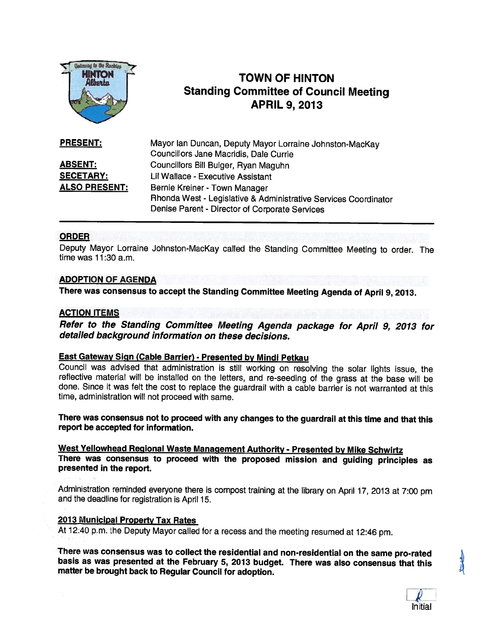

# **1NTON F TOWN OF HINTON Standing Committee of Council Meeting** APRIL 9, 2013

| PRESENT:             | Mayor Ian Duncan, Deputy Mayor Lorraine Johnston-MacKay         |
|----------------------|-----------------------------------------------------------------|
|                      | Councillors Jane Macridis, Dale Currie                          |
| <b>ABSENT:</b>       | Councillors Bill Bulger, Ryan Maguhn                            |
| <b>SECETARY:</b>     | Lil Wallace - Executive Assistant                               |
| <u>ALSO PRESENT:</u> | Bernie Kreiner - Town Manager                                   |
|                      | Rhonda West - Legislative & Administrative Services Coordinator |
|                      | Denise Parent - Director of Corporate Services                  |

### ORDER

Deputy Mayor Lorraine Johnston-Mackay called the Standing Committee Meeting to order. The time was 11:30 a.m.

# ADOPTION OF AGENDA

There was consensus to accept the Standing Committee Meeting Agenda of April 9, 2013.

# ACTION ITEMS

Refer to the Standing Committee Meeting Agenda package for April 9, <sup>2013</sup> for detailed background information on these decisions.

### **East Gateway Sign (Cable Barrier) - Presented by Mindi Petkau**

Council was advised that administration is still working on resolving the solar lights issue, the reflective material will be installed on the letters, and re-seeding of the grass at the base will be done. Since it was felt the cost to replace the guardrail with <sup>a</sup> cable barrier is not warranted at this time, administration will not proceed with same.

There was consensus not to proceed with any changes to the guardrail at this time and that this report be accepted for information.

West Yellowhead Regional Waste Management Authority - Presented by Mike Schwirtz There was consensus to proceed with the proposed mission and guiding principles as presented in the report.

Administration reminded everyone there is compost training at the library on April 17, <sup>2013</sup> at 7:00 pm and the deadline for registration is April 15.

### <sup>2013</sup> Municipal Property Tax Rates

At 12:40 p.m. the Deputy Mayor called for <sup>a</sup> recess and the meeting resumed at 12:46 pm.

There was consensus was to collect the residential and non-residential on the same pro-rated<br>basis as was presented at the February 5, 2013 budget. There was also consensus that this matter be brought back to Regular Council for adoption.